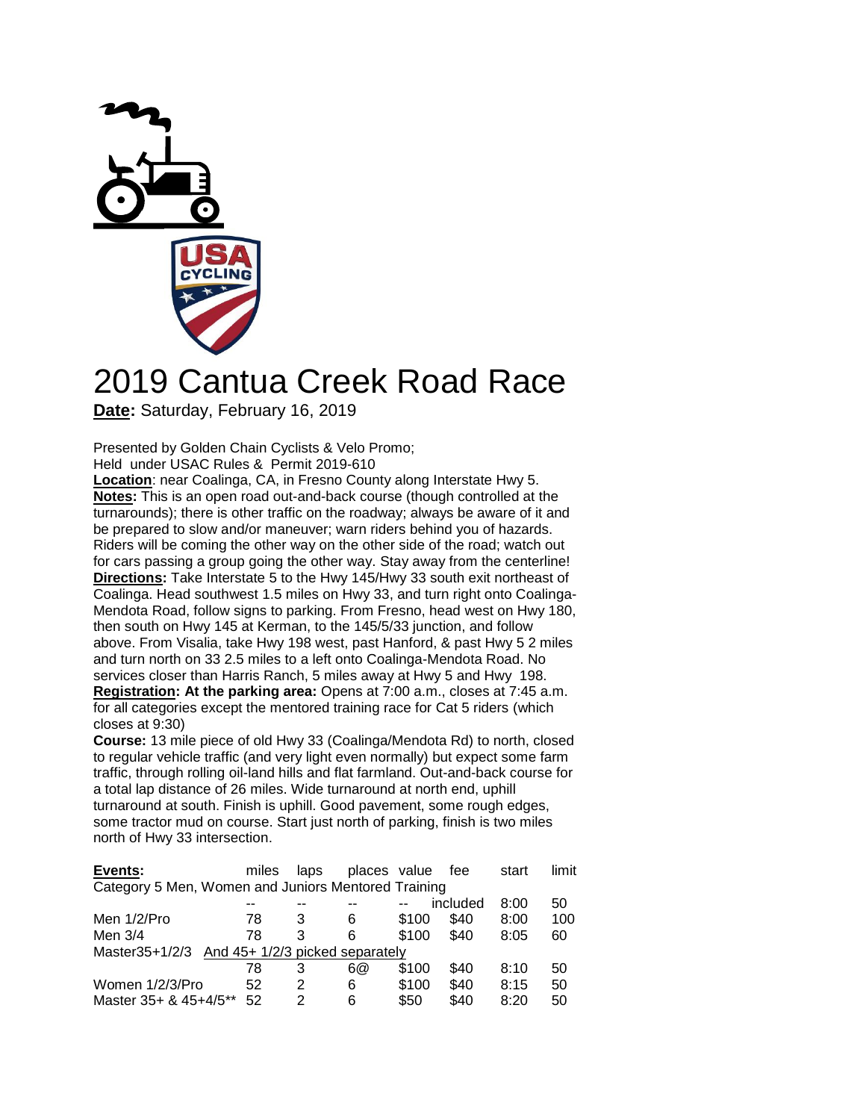

## 2019 Cantua Creek Road Race

**Date:** Saturday, February 16, 2019

Presented by Golden Chain Cyclists & Velo Promo;

Held under USAC Rules & Permit 2019-610

**Location**: near Coalinga, CA, in Fresno County along Interstate Hwy 5. **Notes:** This is an open road out-and-back course (though controlled at the turnarounds); there is other traffic on the roadway; always be aware of it and be prepared to slow and/or maneuver; warn riders behind you of hazards. Riders will be coming the other way on the other side of the road; watch out for cars passing a group going the other way. Stay away from the centerline! **Directions:** Take Interstate 5 to the Hwy 145/Hwy 33 south exit northeast of Coalinga. Head southwest 1.5 miles on Hwy 33, and turn right onto Coalinga-Mendota Road, follow signs to parking. From Fresno, head west on Hwy 180, then south on Hwy 145 at Kerman, to the 145/5/33 junction, and follow above. From Visalia, take Hwy 198 west, past Hanford, & past Hwy 5 2 miles and turn north on 33 2.5 miles to a left onto Coalinga-Mendota Road. No services closer than Harris Ranch, 5 miles away at Hwy 5 and Hwy 198. **Registration: At the parking area:** Opens at 7:00 a.m., closes at 7:45 a.m. for all categories except the mentored training race for Cat 5 riders (which closes at 9:30)

**Course:** 13 mile piece of old Hwy 33 (Coalinga/Mendota Rd) to north, closed to regular vehicle traffic (and very light even normally) but expect some farm traffic, through rolling oil-land hills and flat farmland. Out-and-back course for a total lap distance of 26 miles. Wide turnaround at north end, uphill turnaround at south. Finish is uphill. Good pavement, some rough edges, some tractor mud on course. Start just north of parking, finish is two miles north of Hwy 33 intersection.

| Events:                                             | miles | laps | places value |       | fee      | start | limit |  |  |  |  |  |
|-----------------------------------------------------|-------|------|--------------|-------|----------|-------|-------|--|--|--|--|--|
| Category 5 Men, Women and Juniors Mentored Training |       |      |              |       |          |       |       |  |  |  |  |  |
|                                                     |       |      |              |       | included | 8:00  | 50    |  |  |  |  |  |
| Men $1/2$ /Pro                                      | 78    | 3    | 6            | \$100 | \$40     | 8:00  | 100   |  |  |  |  |  |
| Men 3/4                                             | 78    | 3    | 6            | \$100 | \$40     | 8:05  | 60    |  |  |  |  |  |
| And 45+ 1/2/3 picked separately<br>Master35+1/2/3   |       |      |              |       |          |       |       |  |  |  |  |  |
|                                                     | 78    | 3    | 6@           | \$100 | \$40     | 8:10  | 50    |  |  |  |  |  |
| Women 1/2/3/Pro                                     | 52    | 2    | 6            | \$100 | \$40     | 8:15  | 50    |  |  |  |  |  |
| Master 35+ & 45+4/5**                               | 52    | 2    | 6            | \$50  | \$40     | 8:20  | 50    |  |  |  |  |  |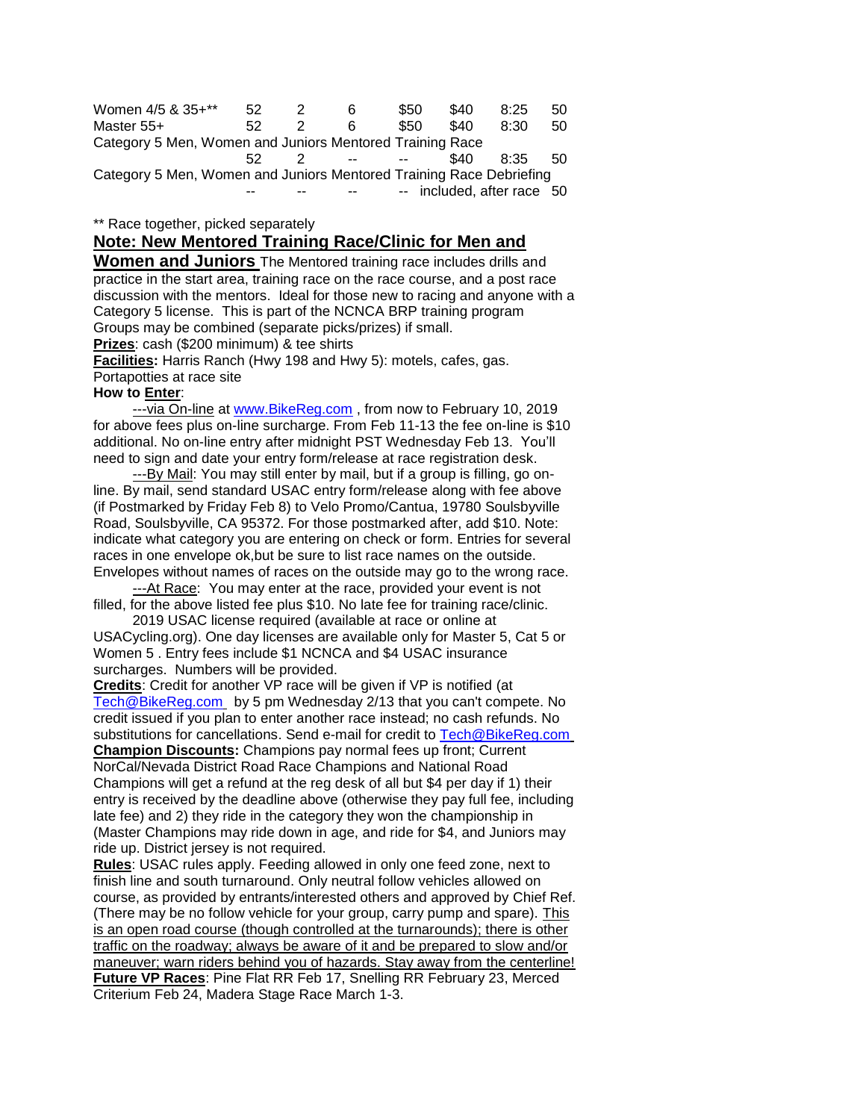| Women 4/5 & 35+**                                                   | 52  |                | 6  | \$50                          | \$40 | 8:25                       | 50 |  |  |  |  |
|---------------------------------------------------------------------|-----|----------------|----|-------------------------------|------|----------------------------|----|--|--|--|--|
| Master 55+                                                          | 52. |                | ิค | \$50                          | \$40 | 8:30                       | 50 |  |  |  |  |
| Category 5 Men, Women and Juniors Mentored Training Race            |     |                |    |                               |      |                            |    |  |  |  |  |
|                                                                     | 52  | $\overline{2}$ |    | and the state of the state of | \$40 | 8:35                       | 50 |  |  |  |  |
| Category 5 Men, Women and Juniors Mentored Training Race Debriefing |     |                |    |                               |      |                            |    |  |  |  |  |
|                                                                     |     |                |    |                               |      | -- included, after race 50 |    |  |  |  |  |

\*\* Race together, picked separately

## **Note: New Mentored Training Race/Clinic for Men and**

**Women and Juniors** The Mentored training race includes drills and practice in the start area, training race on the race course, and a post race discussion with the mentors. Ideal for those new to racing and anyone with a Category 5 license. This is part of the NCNCA BRP training program Groups may be combined (separate picks/prizes) if small.

**Prizes**: cash (\$200 minimum) & tee shirts

**Facilities:** Harris Ranch (Hwy 198 and Hwy 5): motels, cafes, gas. Portapotties at race site

## **How to Enter**:

---via On-line at www. BikeReg.com, from now to February 10, 2019 for above fees plus on-line surcharge. From Feb 11-13 the fee on-line is \$10 additional. No on-line entry after midnight PST Wednesday Feb 13. You'll need to sign and date your entry form/release at race registration desk.

---By Mail: You may still enter by mail, but if a group is filling, go online. By mail, send standard USAC entry form/release along with fee above (if Postmarked by Friday Feb 8) to Velo Promo/Cantua, 19780 Soulsbyville Road, Soulsbyville, CA 95372. For those postmarked after, add \$10. Note: indicate what category you are entering on check or form. Entries for several races in one envelope ok,but be sure to list race names on the outside. Envelopes without names of races on the outside may go to the wrong race.

 ---At Race: You may enter at the race, provided your event is not filled, for the above listed fee plus \$10. No late fee for training race/clinic.

 2019 USAC license required (available at race or online at USACycling.org). One day licenses are available only for Master 5, Cat 5 or Women 5 . Entry fees include \$1 NCNCA and \$4 USAC insurance surcharges. Numbers will be provided.

**Credits**: Credit for another VP race will be given if VP is notified (at [Tech@BikeReg.com](mailto:Tech@BikeReg.com) by 5 pm Wednesday 2/13 that you can't compete. No credit issued if you plan to enter another race instead; no cash refunds. No substitutions for cancellations. Send e-mail for credit to [Tech@BikeReg.com](mailto:Tech@BikeReg.com) **Champion Discounts:** Champions pay normal fees up front; Current NorCal/Nevada District Road Race Champions and National Road Champions will get a refund at the reg desk of all but \$4 per day if 1) their entry is received by the deadline above (otherwise they pay full fee, including late fee) and 2) they ride in the category they won the championship in (Master Champions may ride down in age, and ride for \$4, and Juniors may ride up. District jersey is not required.

**Rules**: USAC rules apply. Feeding allowed in only one feed zone, next to finish line and south turnaround. Only neutral follow vehicles allowed on course, as provided by entrants/interested others and approved by Chief Ref. (There may be no follow vehicle for your group, carry pump and spare). This is an open road course (though controlled at the turnarounds); there is other traffic on the roadway; always be aware of it and be prepared to slow and/or maneuver; warn riders behind you of hazards. Stay away from the centerline! **Future VP Races**: Pine Flat RR Feb 17, Snelling RR February 23, Merced Criterium Feb 24, Madera Stage Race March 1-3.